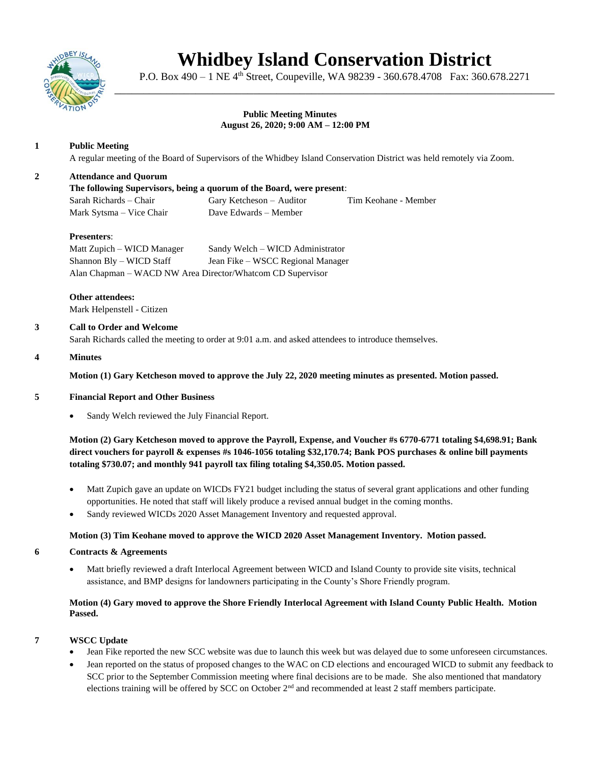

# **Whidbey Island Conservation District**

P.O. Box 490 – 1 NE 4<sup>th</sup> Street, Coupeville, WA 98239 - 360.678.4708 Fax: 360.678.2271 \_\_\_\_\_\_\_\_\_\_\_\_\_\_\_\_\_\_\_\_\_\_\_\_\_\_\_\_\_\_\_\_\_\_\_\_\_\_\_\_\_\_\_\_\_\_\_\_\_\_\_\_\_\_\_\_\_\_\_\_\_\_\_\_\_\_\_\_\_\_\_\_\_\_\_\_

#### **Public Meeting Minutes August 26, 2020; 9:00 AM – 12:00 PM**

# **1 Public Meeting**

A regular meeting of the Board of Supervisors of the Whidbey Island Conservation District was held remotely via Zoom.

## **2 Attendance and Quorum**

**The following Supervisors, being a quorum of the Board, were present**: Sarah Richards – Chair Gary Ketcheson – Auditor Tim Keohane - Member Mark Sytsma – Vice Chair Dave Edwards – Member

## **Presenters**:

Matt Zupich – WICD Manager Sandy Welch – WICD Administrator Shannon Bly – WICD Staff Jean Fike – WSCC Regional Manager Alan Chapman – WACD NW Area Director/Whatcom CD Supervisor

**Other attendees:** Mark Helpenstell - Citizen

### **3 Call to Order and Welcome**

Sarah Richards called the meeting to order at 9:01 a.m. and asked attendees to introduce themselves.

## **4 Minutes**

**Motion (1) Gary Ketcheson moved to approve the July 22, 2020 meeting minutes as presented. Motion passed.** 

### **5 Financial Report and Other Business**

Sandy Welch reviewed the July Financial Report.

**Motion (2) Gary Ketcheson moved to approve the Payroll, Expense, and Voucher #s 6770-6771 totaling \$4,698.91; Bank direct vouchers for payroll & expenses #s 1046-1056 totaling \$32,170.74; Bank POS purchases & online bill payments totaling \$730.07; and monthly 941 payroll tax filing totaling \$4,350.05. Motion passed.** 

- Matt Zupich gave an update on WICDs FY21 budget including the status of several grant applications and other funding opportunities. He noted that staff will likely produce a revised annual budget in the coming months.
- Sandy reviewed WICDs 2020 Asset Management Inventory and requested approval.

### **Motion (3) Tim Keohane moved to approve the WICD 2020 Asset Management Inventory. Motion passed.**

### **6 Contracts & Agreements**

• Matt briefly reviewed a draft Interlocal Agreement between WICD and Island County to provide site visits, technical assistance, and BMP designs for landowners participating in the County's Shore Friendly program.

# **Motion (4) Gary moved to approve the Shore Friendly Interlocal Agreement with Island County Public Health. Motion Passed.**

# **7 WSCC Update**

- Jean Fike reported the new SCC website was due to launch this week but was delayed due to some unforeseen circumstances.
- Jean reported on the status of proposed changes to the WAC on CD elections and encouraged WICD to submit any feedback to SCC prior to the September Commission meeting where final decisions are to be made. She also mentioned that mandatory elections training will be offered by SCC on October 2<sup>nd</sup> and recommended at least 2 staff members participate.